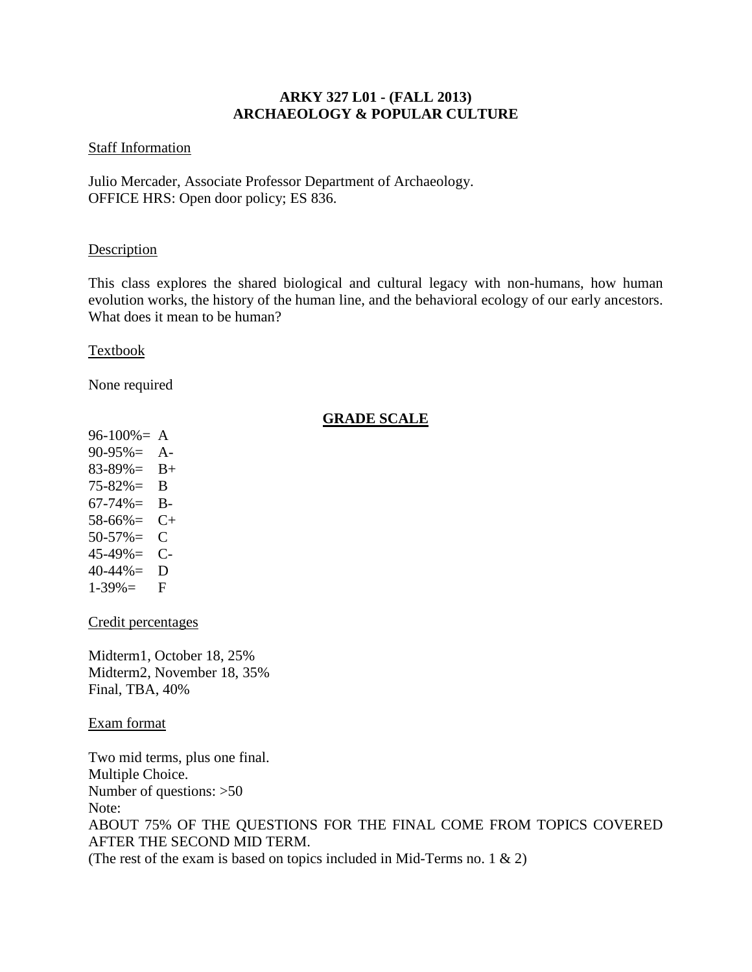## **ARKY 327 L01 - (FALL 2013) ARCHAEOLOGY & POPULAR CULTURE**

## Staff Information

Julio Mercader, Associate Professor Department of Archaeology. OFFICE HRS: Open door policy; ES 836.

## **Description**

This class explores the shared biological and cultural legacy with non-humans, how human evolution works, the history of the human line, and the behavioral ecology of our early ancestors. What does it mean to be human?

Textbook

None required

# **GRADE SCALE**

 $96-100% = A$ 90-95%= A- $83-89\% = B+$ 75-82%= B  $67-74\% = B$ -58-66%= C+  $50-57\% = C$ 45-49%= C-40-44%= D  $1-39\% =$  F

Credit percentages

Midterm1, October 18, 25% Midterm2, November 18, 35% Final, TBA, 40%

Exam format

Two mid terms, plus one final. Multiple Choice. Number of questions: >50 Note: ABOUT 75% OF THE QUESTIONS FOR THE FINAL COME FROM TOPICS COVERED AFTER THE SECOND MID TERM. (The rest of the exam is based on topics included in Mid-Terms no. 1  $\&$  2)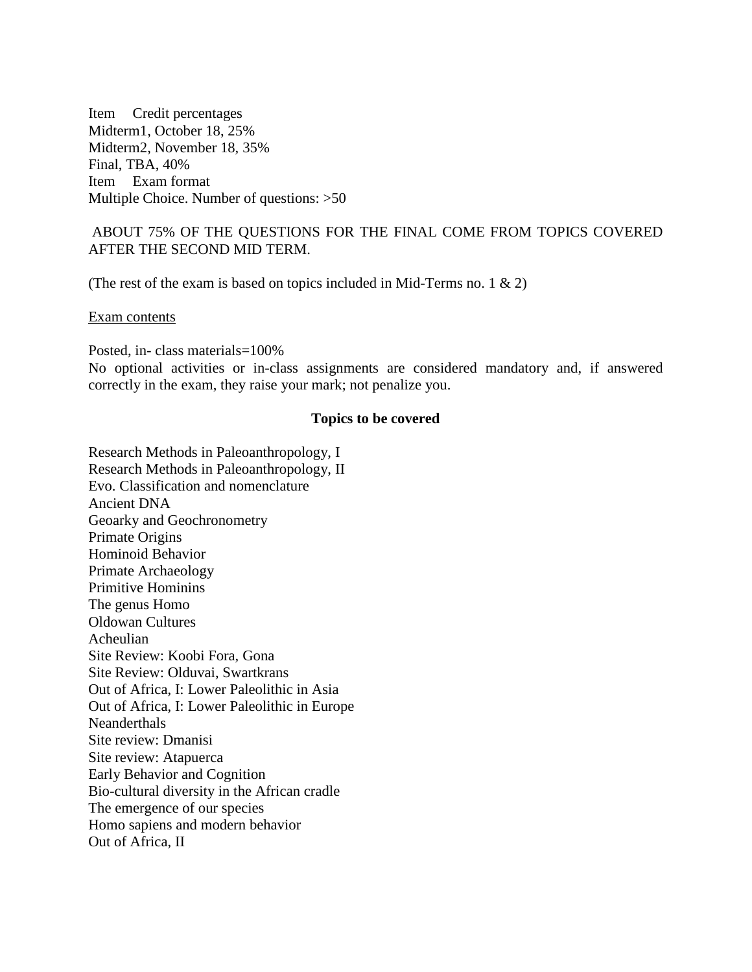Item Credit percentages Midterm1, October 18, 25% Midterm2, November 18, 35% Final, TBA, 40% Item Exam format Multiple Choice. Number of questions: >50

## ABOUT 75% OF THE QUESTIONS FOR THE FINAL COME FROM TOPICS COVERED AFTER THE SECOND MID TERM.

(The rest of the exam is based on topics included in Mid-Terms no. 1  $\&$  2)

Exam contents

Posted, in- class materials=100%

No optional activities or in-class assignments are considered mandatory and, if answered correctly in the exam, they raise your mark; not penalize you.

### **Topics to be covered**

Research Methods in Paleoanthropology, I Research Methods in Paleoanthropology, II Evo. Classification and nomenclature Ancient DNA Geoarky and Geochronometry Primate Origins Hominoid Behavior Primate Archaeology Primitive Hominins The genus Homo Oldowan Cultures Acheulian Site Review: Koobi Fora, Gona Site Review: Olduvai, Swartkrans Out of Africa, I: Lower Paleolithic in Asia Out of Africa, I: Lower Paleolithic in Europe **Neanderthals** Site review: Dmanisi Site review: Atapuerca Early Behavior and Cognition Bio-cultural diversity in the African cradle The emergence of our species Homo sapiens and modern behavior Out of Africa, II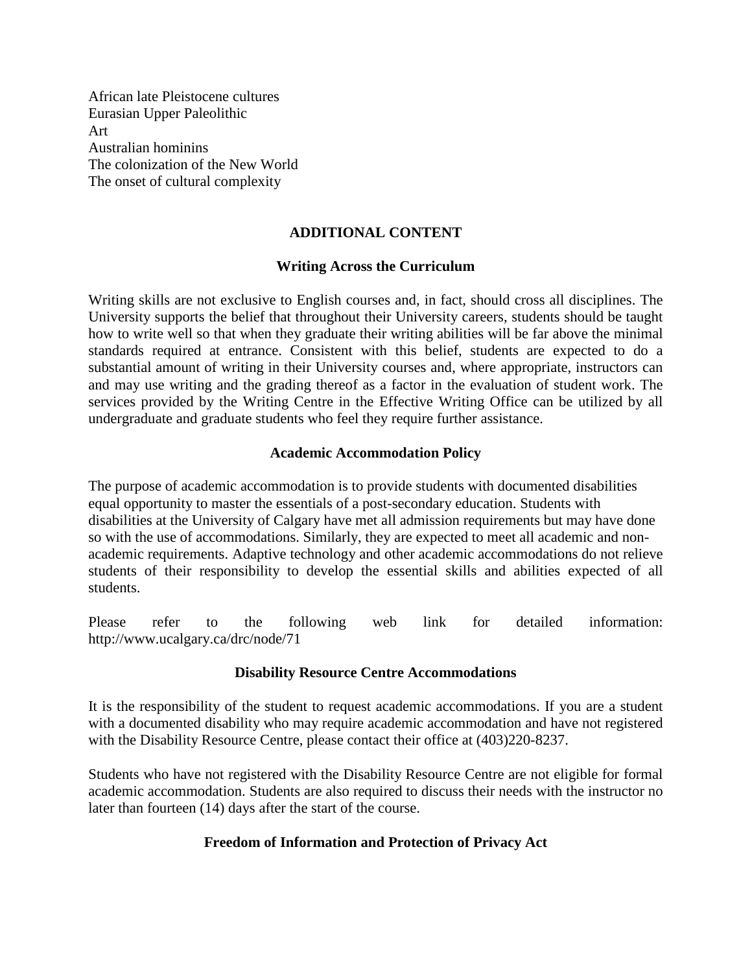African late Pleistocene cultures Eurasian Upper Paleolithic Art Australian hominins The colonization of the New World The onset of cultural complexity

## **ADDITIONAL CONTENT**

#### **Writing Across the Curriculum**

Writing skills are not exclusive to English courses and, in fact, should cross all disciplines. The University supports the belief that throughout their University careers, students should be taught how to write well so that when they graduate their writing abilities will be far above the minimal standards required at entrance. Consistent with this belief, students are expected to do a substantial amount of writing in their University courses and, where appropriate, instructors can and may use writing and the grading thereof as a factor in the evaluation of student work. The services provided by the Writing Centre in the Effective Writing Office can be utilized by all undergraduate and graduate students who feel they require further assistance.

#### **Academic Accommodation Policy**

The purpose of academic accommodation is to provide students with documented disabilities equal opportunity to master the essentials of a post-secondary education. Students with disabilities at the University of Calgary have met all admission requirements but may have done so with the use of accommodations. Similarly, they are expected to meet all academic and nonacademic requirements. Adaptive technology and other academic accommodations do not relieve students of their responsibility to develop the essential skills and abilities expected of all students.

Please refer to the following web link for detailed information: http://www.ucalgary.ca/drc/node/71

#### **Disability Resource Centre Accommodations**

It is the responsibility of the student to request academic accommodations. If you are a student with a documented disability who may require academic accommodation and have not registered with the Disability Resource Centre, please contact their office at (403)220-8237.

Students who have not registered with the Disability Resource Centre are not eligible for formal academic accommodation. Students are also required to discuss their needs with the instructor no later than fourteen (14) days after the start of the course.

#### **Freedom of Information and Protection of Privacy Act**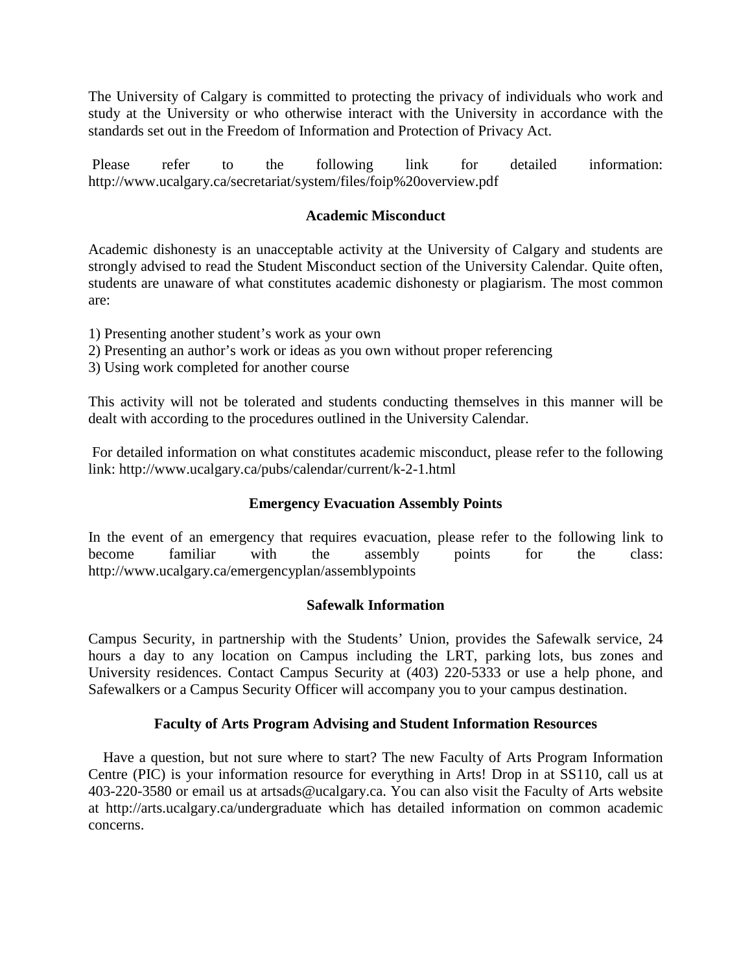The University of Calgary is committed to protecting the privacy of individuals who work and study at the University or who otherwise interact with the University in accordance with the standards set out in the Freedom of Information and Protection of Privacy Act.

Please refer to the following link for detailed information: http://www.ucalgary.ca/secretariat/system/files/foip%20overview.pdf

# **Academic Misconduct**

Academic dishonesty is an unacceptable activity at the University of Calgary and students are strongly advised to read the Student Misconduct section of the University Calendar. Quite often, students are unaware of what constitutes academic dishonesty or plagiarism. The most common are:

- 1) Presenting another student's work as your own
- 2) Presenting an author's work or ideas as you own without proper referencing
- 3) Using work completed for another course

This activity will not be tolerated and students conducting themselves in this manner will be dealt with according to the procedures outlined in the University Calendar.

For detailed information on what constitutes academic misconduct, please refer to the following link: http://www.ucalgary.ca/pubs/calendar/current/k-2-1.html

## **Emergency Evacuation Assembly Points**

In the event of an emergency that requires evacuation, please refer to the following link to become familiar with the assembly points for the class: http://www.ucalgary.ca/emergencyplan/assemblypoints

## **Safewalk Information**

Campus Security, in partnership with the Students' Union, provides the Safewalk service, 24 hours a day to any location on Campus including the LRT, parking lots, bus zones and University residences. Contact Campus Security at (403) 220-5333 or use a help phone, and Safewalkers or a Campus Security Officer will accompany you to your campus destination.

## **Faculty of Arts Program Advising and Student Information Resources**

 Have a question, but not sure where to start? The new Faculty of Arts Program Information Centre (PIC) is your information resource for everything in Arts! Drop in at SS110, call us at 403-220-3580 or email us at artsads@ucalgary.ca. You can also visit the Faculty of Arts website at http://arts.ucalgary.ca/undergraduate which has detailed information on common academic concerns.